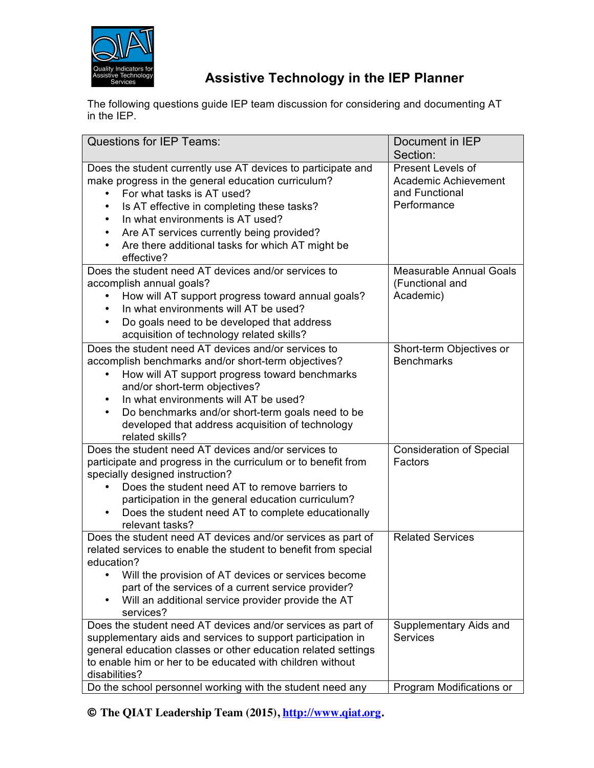

## **Assistive Technology in the IEP Planner**

The following questions guide IEP team discussion for considering and documenting AT in the IEP.

| <b>Questions for IEP Teams:</b>                                                                                                                                                                                                                                                                                                                                   | Document in IEP<br>Section:                                                |
|-------------------------------------------------------------------------------------------------------------------------------------------------------------------------------------------------------------------------------------------------------------------------------------------------------------------------------------------------------------------|----------------------------------------------------------------------------|
| Does the student currently use AT devices to participate and<br>make progress in the general education curriculum?<br>For what tasks is AT used?<br>Is AT effective in completing these tasks?<br>In what environments is AT used?<br>Are AT services currently being provided?<br>Are there additional tasks for which AT might be<br>effective?                 | Present Levels of<br>Academic Achievement<br>and Functional<br>Performance |
| Does the student need AT devices and/or services to<br>accomplish annual goals?<br>How will AT support progress toward annual goals?<br>In what environments will AT be used?<br>Do goals need to be developed that address<br>acquisition of technology related skills?                                                                                          | <b>Measurable Annual Goals</b><br>(Functional and<br>Academic)             |
| Does the student need AT devices and/or services to<br>accomplish benchmarks and/or short-term objectives?<br>How will AT support progress toward benchmarks<br>and/or short-term objectives?<br>In what environments will AT be used?<br>Do benchmarks and/or short-term goals need to be<br>developed that address acquisition of technology<br>related skills? | Short-term Objectives or<br><b>Benchmarks</b>                              |
| Does the student need AT devices and/or services to<br>participate and progress in the curriculum or to benefit from<br>specially designed instruction?<br>Does the student need AT to remove barriers to<br>participation in the general education curriculum?<br>Does the student need AT to complete educationally<br>relevant tasks?                          | <b>Consideration of Special</b><br>Factors                                 |
| Does the student need AT devices and/or services as part of<br>related services to enable the student to benefit from special<br>education?<br>Will the provision of AT devices or services become<br>part of the services of a current service provider?<br>Will an additional service provider provide the AT<br>services?                                      | <b>Related Services</b>                                                    |
| Does the student need AT devices and/or services as part of<br>supplementary aids and services to support participation in<br>general education classes or other education related settings<br>to enable him or her to be educated with children without<br>disabilities?<br>Do the school personnel working with the student need any                            | Supplementary Aids and<br><b>Services</b><br>Program Modifications or      |

© **The QIAT Leadership Team (2015), http://www.qiat.org.**